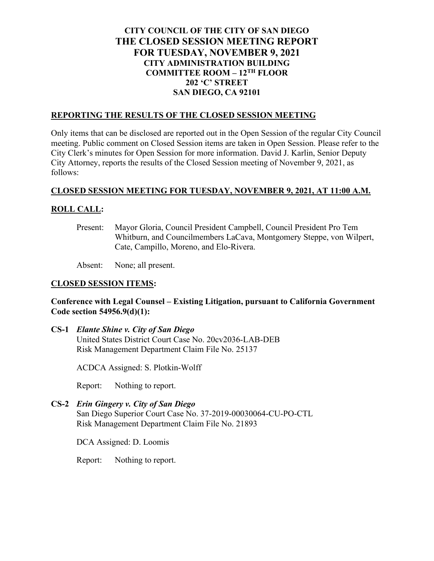# **CITY COUNCIL OF THE CITY OF SAN DIEGO THE CLOSED SESSION MEETING REPORT FOR TUESDAY, NOVEMBER 9, 2021 CITY ADMINISTRATION BUILDING COMMITTEE ROOM – 12TH FLOOR 202 'C' STREET SAN DIEGO, CA 92101**

### **REPORTING THE RESULTS OF THE CLOSED SESSION MEETING**

Only items that can be disclosed are reported out in the Open Session of the regular City Council meeting. Public comment on Closed Session items are taken in Open Session. Please refer to the City Clerk's minutes for Open Session for more information. David J. Karlin, Senior Deputy City Attorney, reports the results of the Closed Session meeting of November 9, 2021, as follows:

#### **CLOSED SESSION MEETING FOR TUESDAY, NOVEMBER 9, 2021, AT 11:00 A.M.**

## **ROLL CALL:**

Present: Mayor Gloria, Council President Campbell, Council President Pro Tem Whitburn, and Councilmembers LaCava, Montgomery Steppe, von Wilpert, Cate, Campillo, Moreno, and Elo-Rivera.

Absent: None; all present.

#### **CLOSED SESSION ITEMS:**

#### **Conference with Legal Counsel – Existing Litigation, pursuant to California Government Code section 54956.9(d)(1):**

**CS-1** *Elante Shine v. City of San Diego* United States District Court Case No. 20cv2036-LAB-DEB Risk Management Department Claim File No. 25137

ACDCA Assigned: S. Plotkin-Wolff

Report: Nothing to report.

**CS-2** *Erin Gingery v. City of San Diego* San Diego Superior Court Case No. 37-2019-00030064-CU-PO-CTL Risk Management Department Claim File No. 21893

DCA Assigned: D. Loomis

Report: Nothing to report.